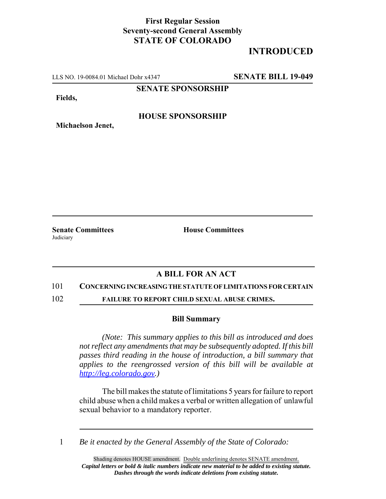## **First Regular Session Seventy-second General Assembly STATE OF COLORADO**

# **INTRODUCED**

LLS NO. 19-0084.01 Michael Dohr x4347 **SENATE BILL 19-049**

**SENATE SPONSORSHIP**

**Fields,**

### **HOUSE SPONSORSHIP**

**Senate Committees House Committees Judiciary** 

**Michaelson Jenet,**

## **A BILL FOR AN ACT**

#### 101 **CONCERNING INCREASING THE STATUTE OF LIMITATIONS FOR CERTAIN**

102 **FAILURE TO REPORT CHILD SEXUAL ABUSE CRIMES.**

#### **Bill Summary**

*(Note: This summary applies to this bill as introduced and does not reflect any amendments that may be subsequently adopted. If this bill passes third reading in the house of introduction, a bill summary that applies to the reengrossed version of this bill will be available at http://leg.colorado.gov.)*

The bill makes the statute of limitations 5 years for failure to report child abuse when a child makes a verbal or written allegation of unlawful sexual behavior to a mandatory reporter.

1 *Be it enacted by the General Assembly of the State of Colorado:*